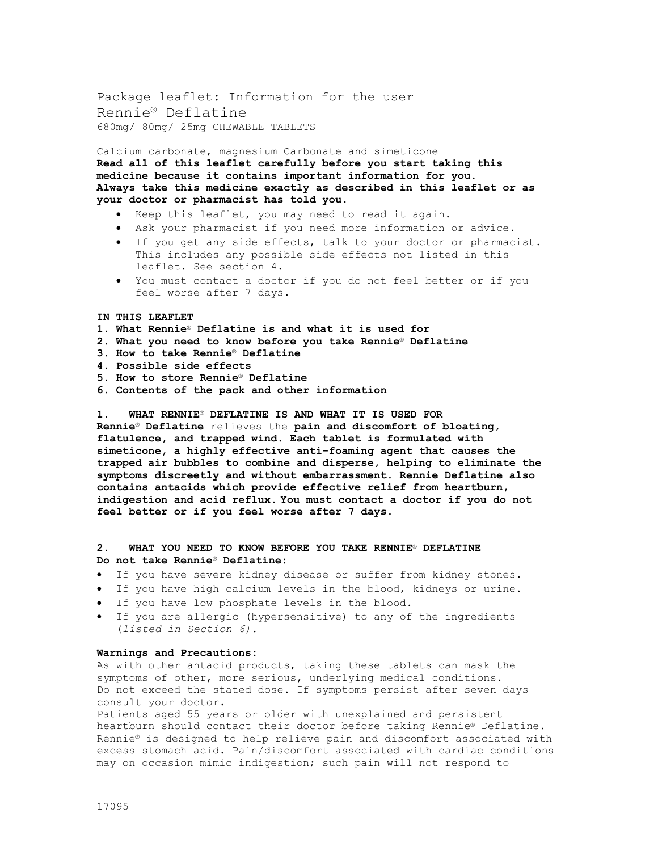Package leaflet: Information for the user Rennie® Deflatine 680mg/ 80mg/ 25mg CHEWABLE TABLETS

Calcium carbonate, magnesium Carbonate and simeticone **Read all of this leaflet carefully before you start taking this medicine because it contains important information for you. Always take this medicine exactly as described in this leaflet or as your doctor or pharmacist has told you.**

- Keep this leaflet, you may need to read it again.
- Ask your pharmacist if you need more information or advice.
- If you get any side effects, talk to your doctor or pharmacist. This includes any possible side effects not listed in this leaflet. See section 4.
- You must contact a doctor if you do not feel better or if you feel worse after 7 days.

#### **IN THIS LEAFLET**

- **1. What Rennie**® **Deflatine is and what it is used for**
- **2. What you need to know before you take Rennie**® **Deflatine**
- **3. How to take Rennie**® **Deflatine**
- **4. Possible side effects**
- **5. How to store Rennie**® **Deflatine**
- **6. Contents of the pack and other information**

**1. WHAT RENNIE**® **DEFLATINE IS AND WHAT IT IS USED FOR Rennie**® **Deflatine** relieves the **pain and discomfort of bloating, flatulence, and trapped wind. Each tablet is formulated with simeticone, a highly effective anti-foaming agent that causes the trapped air bubbles to combine and disperse, helping to eliminate the symptoms discreetly and without embarrassment. Rennie Deflatine also contains antacids which provide effective relief from heartburn, indigestion and acid reflux. You must contact a doctor if you do not feel better or if you feel worse after 7 days.**

# **2. WHAT YOU NEED TO KNOW BEFORE YOU TAKE RENNIE**® **DEFLATINE Do not take Rennie**® **Deflatine:**

- If you have severe kidney disease or suffer from kidney stones.
- If you have high calcium levels in the blood, kidneys or urine.
- If you have low phosphate levels in the blood.
- If you are allergic (hypersensitive) to any of the ingredients (*listed in Section 6).*

# **Warnings and Precautions:**

As with other antacid products, taking these tablets can mask the symptoms of other, more serious, underlying medical conditions. Do not exceed the stated dose. If symptoms persist after seven days consult your doctor.

Patients aged 55 years or older with unexplained and persistent heartburn should contact their doctor before taking Rennie® Deflatine. Rennie® is designed to help relieve pain and discomfort associated with excess stomach acid. Pain/discomfort associated with cardiac conditions may on occasion mimic indigestion; such pain will not respond to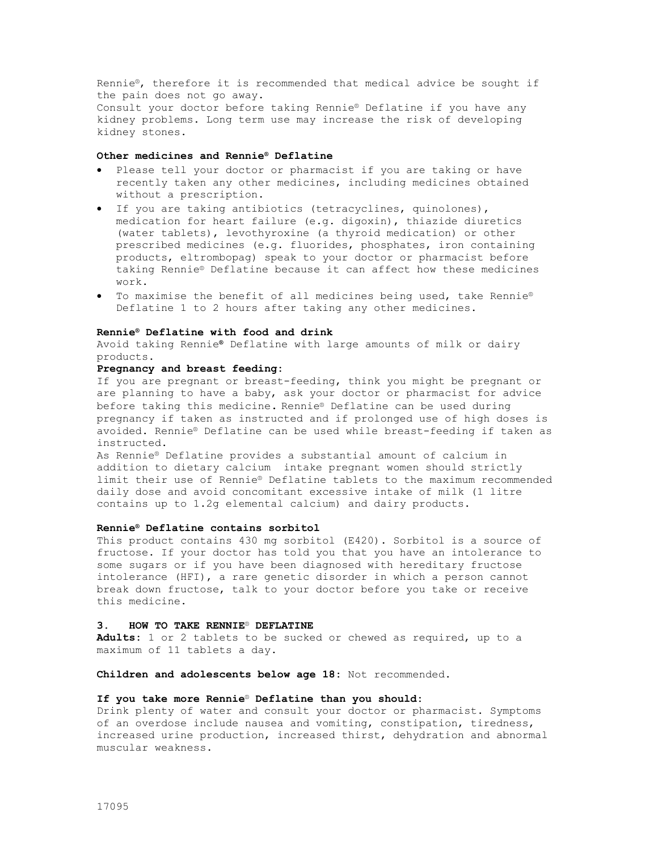Rennie®, therefore it is recommended that medical advice be sought if the pain does not go away.

Consult your doctor before taking Rennie® Deflatine if you have any kidney problems. Long term use may increase the risk of developing kidney stones.

# **Other medicines and Rennie® Deflatine**

- Please tell your doctor or pharmacist if you are taking or have recently taken any other medicines, including medicines obtained without a prescription**.**
- If you are taking antibiotics (tetracyclines, quinolones), medication for heart failure (e.g. digoxin), thiazide diuretics (water tablets), levothyroxine (a thyroid medication) or other prescribed medicines (e.g. fluorides, phosphates, iron containing products, eltrombopag) speak to your doctor or pharmacist before taking Rennie® Deflatine because it can affect how these medicines work.
- To maximise the benefit of all medicines being used, take Rennie® Deflatine 1 to 2 hours after taking any other medicines.

### **Rennie® Deflatine with food and drink**

Avoid taking Rennie**®** Deflatine with large amounts of milk or dairy products.

## **Pregnancy and breast feeding:**

If you are pregnant or breast-feeding, think you might be pregnant or are planning to have a baby, ask your doctor or pharmacist for advice before taking this medicine. Rennie® Deflatine can be used during pregnancy if taken as instructed and if prolonged use of high doses is avoided. Rennie® Deflatine can be used while breast-feeding if taken as instructed.

As Rennie® Deflatine provides a substantial amount of calcium in addition to dietary calcium intake pregnant women should strictly limit their use of Rennie® Deflatine tablets to the maximum recommended daily dose and avoid concomitant excessive intake of milk (1 litre contains up to 1.2g elemental calcium) and dairy products.

# **Rennie® Deflatine contains sorbitol**

This product contains 430 mg sorbitol (E420). Sorbitol is a source of fructose. If your doctor has told you that you have an intolerance to some sugars or if you have been diagnosed with hereditary fructose intolerance (HFI), a rare genetic disorder in which a person cannot break down fructose, talk to your doctor before you take or receive this medicine.

#### **3. HOW TO TAKE RENNIE**® **DEFLATINE**

**Adults:** 1 or 2 tablets to be sucked or chewed as required, up to a maximum of 11 tablets a day.

**Children and adolescents below age 18:** Not recommended.

# **If you take more Rennie**® **Deflatine than you should:**

Drink plenty of water and consult your doctor or pharmacist. Symptoms of an overdose include nausea and vomiting, constipation, tiredness, increased urine production, increased thirst, dehydration and abnormal muscular weakness.